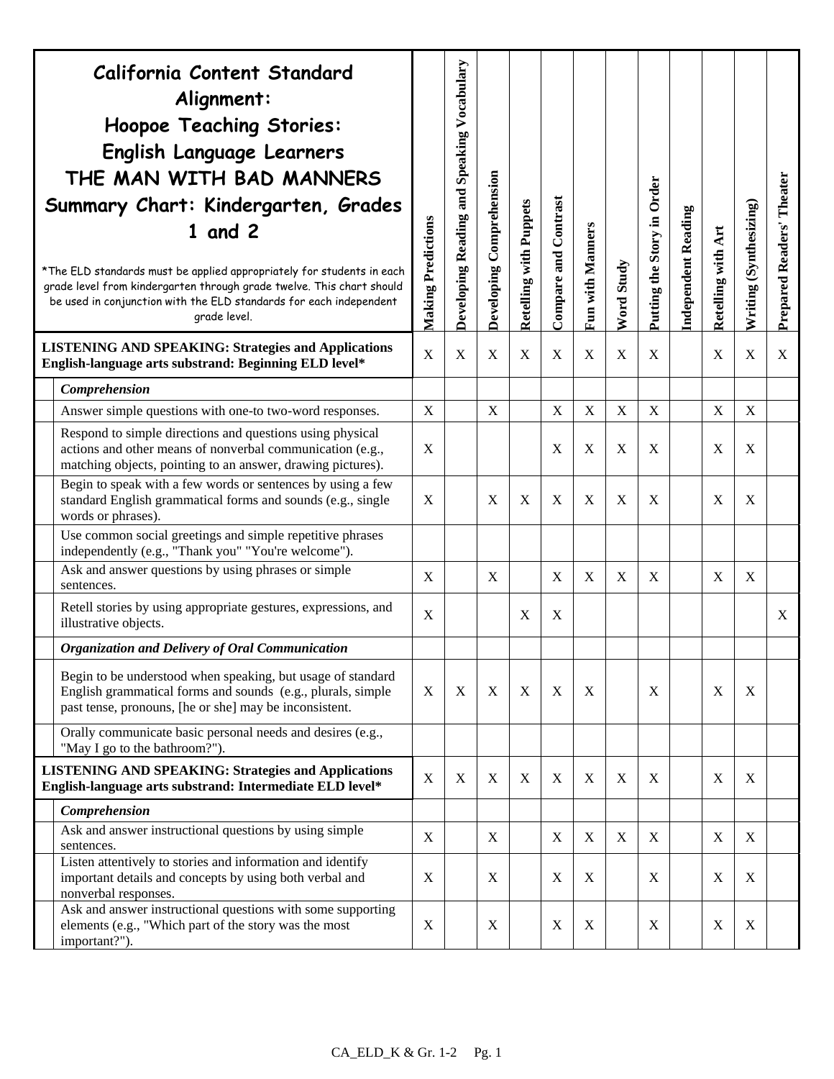| California Content Standard<br>Alignment:<br><b>Hoopoe Teaching Stories:</b><br>English Language Learners<br>THE MAN WITH BAD MANNERS<br>Summary Chart: Kindergarten, Grades<br>$1$ and $2$<br>*The ELD standards must be applied appropriately for students in each<br>grade level from kindergarten through grade twelve. This chart should<br>be used in conjunction with the ELD standards for each independent<br>grade level. | <b>Making Predictions</b> | Developing Reading and Speaking Vocabulary | Developing Comprehension | <b>Retelling with Puppets</b> | Compare and Contrast | Fun with Manners | Word Study       | Putting the Story in Order | <b>Independent Reading</b> | Retelling with Art | Writing (Synthesizing) | Prepared Readers' Theater |
|-------------------------------------------------------------------------------------------------------------------------------------------------------------------------------------------------------------------------------------------------------------------------------------------------------------------------------------------------------------------------------------------------------------------------------------|---------------------------|--------------------------------------------|--------------------------|-------------------------------|----------------------|------------------|------------------|----------------------------|----------------------------|--------------------|------------------------|---------------------------|
| <b>LISTENING AND SPEAKING: Strategies and Applications</b><br>English-language arts substrand: Beginning ELD level*                                                                                                                                                                                                                                                                                                                 | $\boldsymbol{X}$          | X                                          | $\mathbf X$              | $\mathbf X$                   | X                    | $\mathbf X$      | X                | X                          |                            | X                  | $\mathbf X$            | X                         |
| Comprehension                                                                                                                                                                                                                                                                                                                                                                                                                       |                           |                                            |                          |                               |                      |                  |                  |                            |                            |                    |                        |                           |
| Answer simple questions with one-to two-word responses.                                                                                                                                                                                                                                                                                                                                                                             | X                         |                                            | X                        |                               | $\mathbf X$          | X                | $\mathbf X$      | $\mathbf X$                |                            | X                  | $\mathbf X$            |                           |
| Respond to simple directions and questions using physical<br>actions and other means of nonverbal communication (e.g.,<br>matching objects, pointing to an answer, drawing pictures).                                                                                                                                                                                                                                               | X                         |                                            |                          |                               | X                    | X                | X                | X                          |                            | X                  | X                      |                           |
| Begin to speak with a few words or sentences by using a few<br>standard English grammatical forms and sounds (e.g., single<br>words or phrases).                                                                                                                                                                                                                                                                                    | X                         |                                            | X                        | X                             | X                    | X                | X                | X                          |                            | $\mathbf{X}$       | X                      |                           |
| Use common social greetings and simple repetitive phrases<br>independently (e.g., "Thank you" "You're welcome").                                                                                                                                                                                                                                                                                                                    |                           |                                            |                          |                               |                      |                  |                  |                            |                            |                    |                        |                           |
| Ask and answer questions by using phrases or simple<br>sentences.                                                                                                                                                                                                                                                                                                                                                                   | X                         |                                            | X                        |                               | X                    | X                | X                | X                          |                            | X                  | X                      |                           |
| Retell stories by using appropriate gestures, expressions, and<br>illustrative objects.                                                                                                                                                                                                                                                                                                                                             | X                         |                                            |                          | X                             | X                    |                  |                  |                            |                            |                    |                        | X                         |
| <b>Organization and Delivery of Oral Communication</b>                                                                                                                                                                                                                                                                                                                                                                              |                           |                                            |                          |                               |                      |                  |                  |                            |                            |                    |                        |                           |
| Begin to be understood when speaking, but usage of standard<br>English grammatical forms and sounds (e.g., plurals, simple<br>past tense, pronouns, [he or she] may be inconsistent.                                                                                                                                                                                                                                                | X                         | X                                          | X                        | X                             | X                    | X                |                  | X                          |                            | X                  | X                      |                           |
| Orally communicate basic personal needs and desires (e.g.,<br>"May I go to the bathroom?").                                                                                                                                                                                                                                                                                                                                         |                           |                                            |                          |                               |                      |                  |                  |                            |                            |                    |                        |                           |
| <b>LISTENING AND SPEAKING: Strategies and Applications</b><br>English-language arts substrand: Intermediate ELD level*                                                                                                                                                                                                                                                                                                              | $\mathbf X$               | X                                          | X                        | X                             | X                    | X                | X                | X                          |                            | $\boldsymbol{X}$   | X                      |                           |
| Comprehension                                                                                                                                                                                                                                                                                                                                                                                                                       |                           |                                            |                          |                               |                      |                  |                  |                            |                            |                    |                        |                           |
| Ask and answer instructional questions by using simple<br>sentences.                                                                                                                                                                                                                                                                                                                                                                | X                         |                                            | X                        |                               | $\mathbf X$          | X                | $\boldsymbol{X}$ | X                          |                            | X                  | X                      |                           |
| Listen attentively to stories and information and identify<br>important details and concepts by using both verbal and<br>nonverbal responses.                                                                                                                                                                                                                                                                                       | $\boldsymbol{\mathrm{X}}$ |                                            | X                        |                               | X                    | X                |                  | X                          |                            | X                  | X                      |                           |
| Ask and answer instructional questions with some supporting<br>elements (e.g., "Which part of the story was the most<br>important?").                                                                                                                                                                                                                                                                                               | $\mathbf X$               |                                            | X                        |                               | X                    | X                |                  | X                          |                            | X                  | X                      |                           |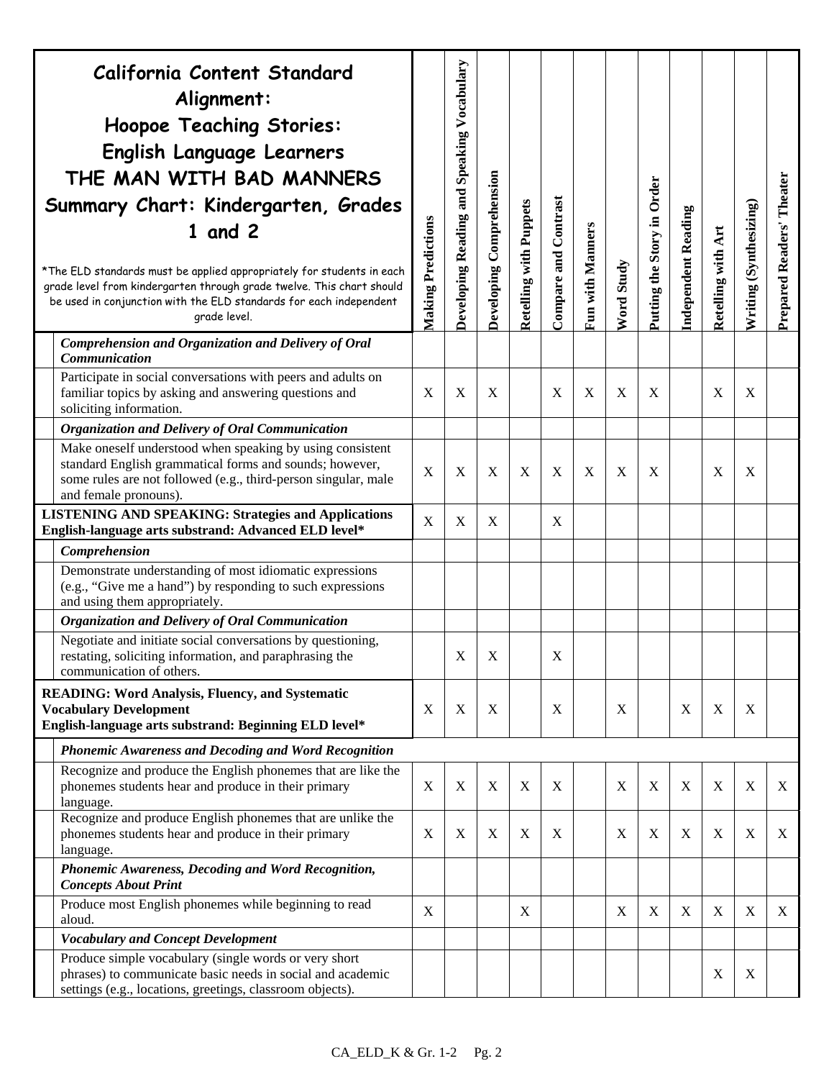| California Content Standard<br>Alignment:<br><b>Hoopoe Teaching Stories:</b><br>English Language Learners<br>THE MAN WITH BAD MANNERS<br>Summary Chart: Kindergarten, Grades<br>$1$ and $2$<br>*The ELD standards must be applied appropriately for students in each<br>grade level from kindergarten through grade twelve. This chart should<br>be used in conjunction with the ELD standards for each independent<br>grade level. | Making Predictions | Developing Reading and Speaking Vocabulary | Developing Comprehension | Retelling with Puppets | Compare and Contrast      | Fun with Manners          | Word Study | Putting the Story in Order | <b>Independent Reading</b> | Retelling with Art        | Writing (Synthesizing) | Prepared Readers' Theater |
|-------------------------------------------------------------------------------------------------------------------------------------------------------------------------------------------------------------------------------------------------------------------------------------------------------------------------------------------------------------------------------------------------------------------------------------|--------------------|--------------------------------------------|--------------------------|------------------------|---------------------------|---------------------------|------------|----------------------------|----------------------------|---------------------------|------------------------|---------------------------|
| Comprehension and Organization and Delivery of Oral<br><b>Communication</b>                                                                                                                                                                                                                                                                                                                                                         |                    |                                            |                          |                        |                           |                           |            |                            |                            |                           |                        |                           |
| Participate in social conversations with peers and adults on<br>familiar topics by asking and answering questions and<br>soliciting information.                                                                                                                                                                                                                                                                                    | X                  | X                                          | X                        |                        | X                         | X                         | X          | X                          |                            | X                         | X                      |                           |
| Organization and Delivery of Oral Communication                                                                                                                                                                                                                                                                                                                                                                                     |                    |                                            |                          |                        |                           |                           |            |                            |                            |                           |                        |                           |
| Make oneself understood when speaking by using consistent<br>standard English grammatical forms and sounds; however,<br>some rules are not followed (e.g., third-person singular, male<br>and female pronouns).                                                                                                                                                                                                                     | X                  | X                                          | X                        | X                      | X                         | $\boldsymbol{\mathrm{X}}$ | X          | X                          |                            | X                         | X                      |                           |
| <b>LISTENING AND SPEAKING: Strategies and Applications</b><br>English-language arts substrand: Advanced ELD level*                                                                                                                                                                                                                                                                                                                  | X                  | X                                          | X                        |                        | X                         |                           |            |                            |                            |                           |                        |                           |
| Comprehension                                                                                                                                                                                                                                                                                                                                                                                                                       |                    |                                            |                          |                        |                           |                           |            |                            |                            |                           |                        |                           |
| Demonstrate understanding of most idiomatic expressions<br>(e.g., "Give me a hand") by responding to such expressions<br>and using them appropriately.                                                                                                                                                                                                                                                                              |                    |                                            |                          |                        |                           |                           |            |                            |                            |                           |                        |                           |
| Organization and Delivery of Oral Communication                                                                                                                                                                                                                                                                                                                                                                                     |                    |                                            |                          |                        |                           |                           |            |                            |                            |                           |                        |                           |
| Negotiate and initiate social conversations by questioning,<br>restating, soliciting information, and paraphrasing the<br>communication of others.                                                                                                                                                                                                                                                                                  |                    | X                                          | X                        |                        | $\boldsymbol{\mathrm{X}}$ |                           |            |                            |                            |                           |                        |                           |
| <b>READING: Word Analysis, Fluency, and Systematic</b><br><b>Vocabulary Development</b><br>English-language arts substrand: Beginning ELD level*                                                                                                                                                                                                                                                                                    | X                  | X                                          | X                        |                        | X                         |                           | X          |                            | X                          | X                         | X                      |                           |
| <b>Phonemic Awareness and Decoding and Word Recognition</b>                                                                                                                                                                                                                                                                                                                                                                         |                    |                                            |                          |                        |                           |                           |            |                            |                            |                           |                        |                           |
| Recognize and produce the English phonemes that are like the<br>phonemes students hear and produce in their primary<br>language.                                                                                                                                                                                                                                                                                                    | $\mathbf X$        | X                                          | X                        | X                      | X                         |                           | X          | $\mathbf X$                | X                          | $\boldsymbol{\mathrm{X}}$ | $\mathbf X$            | X                         |
| Recognize and produce English phonemes that are unlike the<br>phonemes students hear and produce in their primary<br>language.                                                                                                                                                                                                                                                                                                      | X                  | X                                          | X                        | $\mathbf X$            | X                         |                           | X          | $\boldsymbol{\mathrm{X}}$  | X                          | X                         | $\mathbf X$            | X                         |
| Phonemic Awareness, Decoding and Word Recognition,<br><b>Concepts About Print</b>                                                                                                                                                                                                                                                                                                                                                   |                    |                                            |                          |                        |                           |                           |            |                            |                            |                           |                        |                           |
| Produce most English phonemes while beginning to read<br>aloud.                                                                                                                                                                                                                                                                                                                                                                     | X                  |                                            |                          | X                      |                           |                           | X          | X                          | X                          | X                         | $\mathbf X$            | X                         |
| <b>Vocabulary and Concept Development</b>                                                                                                                                                                                                                                                                                                                                                                                           |                    |                                            |                          |                        |                           |                           |            |                            |                            |                           |                        |                           |
| Produce simple vocabulary (single words or very short<br>phrases) to communicate basic needs in social and academic<br>settings (e.g., locations, greetings, classroom objects).                                                                                                                                                                                                                                                    |                    |                                            |                          |                        |                           |                           |            |                            |                            | X                         | X                      |                           |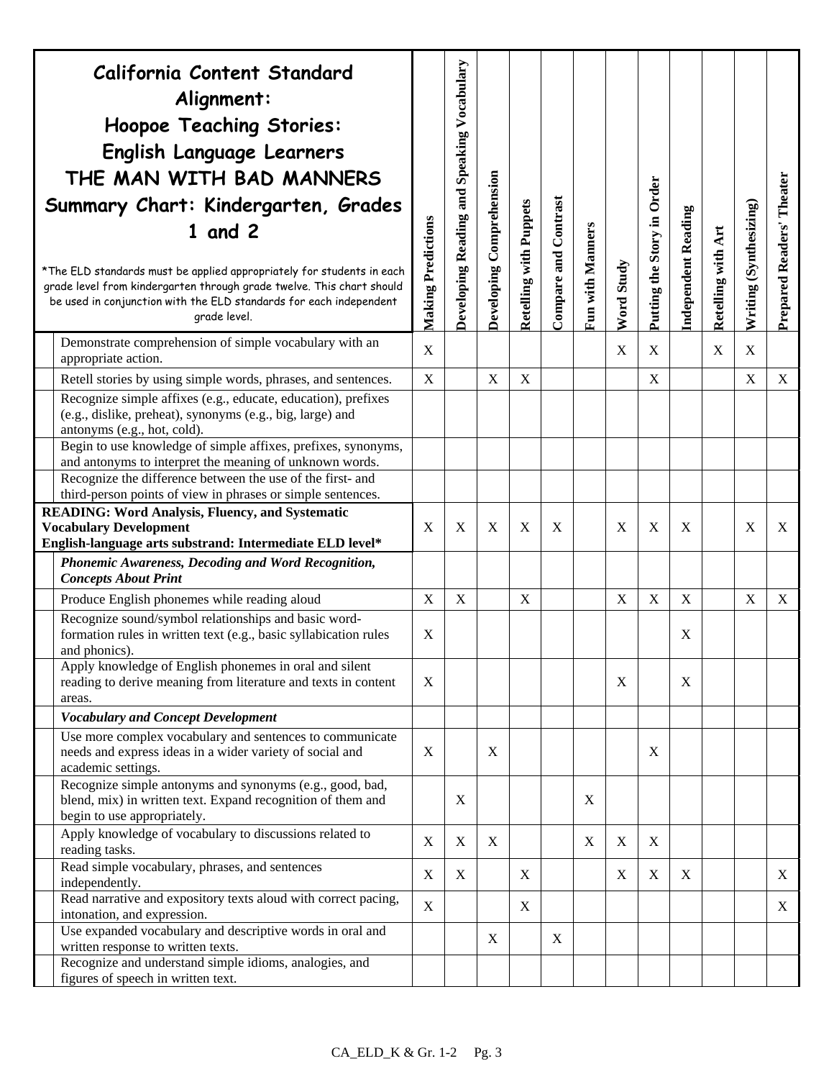| California Content Standard<br>Alignment:<br>Hoopoe Teaching Stories:<br>English Language Learners<br>THE MAN WITH BAD MANNERS<br>Summary Chart: Kindergarten, Grades<br>$1$ and $2$<br>*The ELD standards must be applied appropriately for students in each<br>grade level from kindergarten through grade twelve. This chart should<br>be used in conjunction with the ELD standards for each independent<br>grade level. | Making Predictions | Developing Reading and Speaking Vocabulary | Developing Comprehension | Retelling with Puppets | Compare and Contrast | Fun with Manners | Word Study                | Putting the Story in Order | <b>Independent Reading</b> | Retelling with Art | Writing (Synthesizing)    | Prepared Readers' Theater |
|------------------------------------------------------------------------------------------------------------------------------------------------------------------------------------------------------------------------------------------------------------------------------------------------------------------------------------------------------------------------------------------------------------------------------|--------------------|--------------------------------------------|--------------------------|------------------------|----------------------|------------------|---------------------------|----------------------------|----------------------------|--------------------|---------------------------|---------------------------|
| Demonstrate comprehension of simple vocabulary with an<br>appropriate action.                                                                                                                                                                                                                                                                                                                                                | X                  |                                            |                          |                        |                      |                  | $\boldsymbol{\mathrm{X}}$ | X                          |                            | X                  | X                         |                           |
| Retell stories by using simple words, phrases, and sentences.                                                                                                                                                                                                                                                                                                                                                                | $\mathbf X$        |                                            | X                        | $\mathbf X$            |                      |                  |                           | X                          |                            |                    | $\boldsymbol{\mathrm{X}}$ | $\mathbf X$               |
| Recognize simple affixes (e.g., educate, education), prefixes<br>(e.g., dislike, preheat), synonyms (e.g., big, large) and<br>antonyms (e.g., hot, cold).                                                                                                                                                                                                                                                                    |                    |                                            |                          |                        |                      |                  |                           |                            |                            |                    |                           |                           |
| Begin to use knowledge of simple affixes, prefixes, synonyms,<br>and antonyms to interpret the meaning of unknown words.                                                                                                                                                                                                                                                                                                     |                    |                                            |                          |                        |                      |                  |                           |                            |                            |                    |                           |                           |
| Recognize the difference between the use of the first- and<br>third-person points of view in phrases or simple sentences.                                                                                                                                                                                                                                                                                                    |                    |                                            |                          |                        |                      |                  |                           |                            |                            |                    |                           |                           |
| <b>READING: Word Analysis, Fluency, and Systematic</b><br><b>Vocabulary Development</b><br>English-language arts substrand: Intermediate ELD level*                                                                                                                                                                                                                                                                          | X                  | X                                          | X                        | X                      | X                    |                  | X                         | X                          | X                          |                    | X                         | X                         |
| Phonemic Awareness, Decoding and Word Recognition,<br><b>Concepts About Print</b>                                                                                                                                                                                                                                                                                                                                            |                    |                                            |                          |                        |                      |                  |                           |                            |                            |                    |                           |                           |
| Produce English phonemes while reading aloud                                                                                                                                                                                                                                                                                                                                                                                 | X                  | X                                          |                          | X                      |                      |                  | X                         | $\mathbf X$                | X                          |                    | X                         | X                         |
| Recognize sound/symbol relationships and basic word-<br>formation rules in written text (e.g., basic syllabication rules<br>and phonics).                                                                                                                                                                                                                                                                                    | X                  |                                            |                          |                        |                      |                  |                           |                            | X                          |                    |                           |                           |
| Apply knowledge of English phonemes in oral and silent<br>reading to derive meaning from literature and texts in content<br>areas.                                                                                                                                                                                                                                                                                           | X                  |                                            |                          |                        |                      |                  | $\mathbf X$               |                            | X                          |                    |                           |                           |
| <b>Vocabulary and Concept Development</b>                                                                                                                                                                                                                                                                                                                                                                                    |                    |                                            |                          |                        |                      |                  |                           |                            |                            |                    |                           |                           |
| Use more complex vocabulary and sentences to communicate<br>needs and express ideas in a wider variety of social and<br>academic settings.                                                                                                                                                                                                                                                                                   | X                  |                                            | X                        |                        |                      |                  |                           | X                          |                            |                    |                           |                           |
| Recognize simple antonyms and synonyms (e.g., good, bad,<br>blend, mix) in written text. Expand recognition of them and<br>begin to use appropriately.                                                                                                                                                                                                                                                                       |                    | X                                          |                          |                        |                      | X                |                           |                            |                            |                    |                           |                           |
| Apply knowledge of vocabulary to discussions related to<br>reading tasks.                                                                                                                                                                                                                                                                                                                                                    | $\mathbf X$        | $\mathbf X$                                | X                        |                        |                      | X                | $\mathbf X$               | X                          |                            |                    |                           |                           |
| Read simple vocabulary, phrases, and sentences<br>independently.                                                                                                                                                                                                                                                                                                                                                             | $\mathbf X$        | X                                          |                          | X                      |                      |                  | X                         | $\mathbf X$                | X                          |                    |                           | X                         |
| Read narrative and expository texts aloud with correct pacing,<br>intonation, and expression.                                                                                                                                                                                                                                                                                                                                | X                  |                                            |                          | X                      |                      |                  |                           |                            |                            |                    |                           | X                         |
| Use expanded vocabulary and descriptive words in oral and<br>written response to written texts.                                                                                                                                                                                                                                                                                                                              |                    |                                            | X                        |                        | X                    |                  |                           |                            |                            |                    |                           |                           |
| Recognize and understand simple idioms, analogies, and<br>figures of speech in written text.                                                                                                                                                                                                                                                                                                                                 |                    |                                            |                          |                        |                      |                  |                           |                            |                            |                    |                           |                           |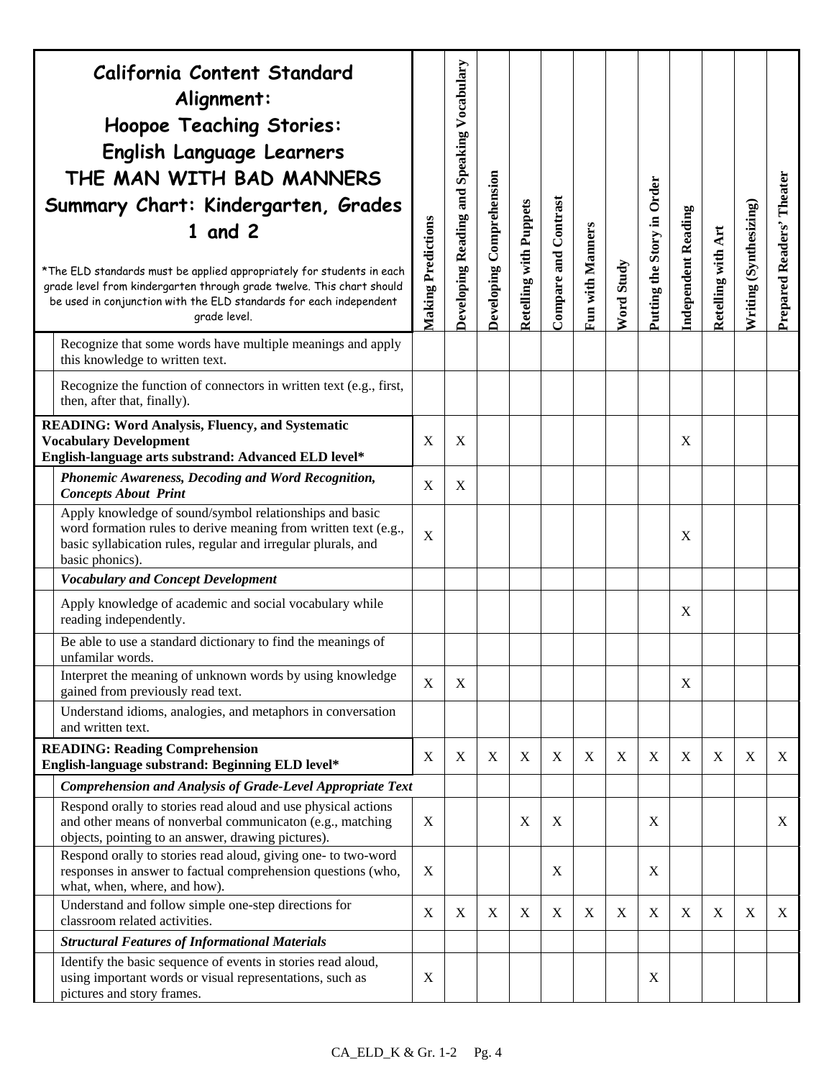| California Content Standard<br>Alignment:<br><b>Hoopoe Teaching Stories:</b><br>English Language Learners<br>THE MAN WITH BAD MANNERS<br>Summary Chart: Kindergarten, Grades<br>$1$ and $2$<br>*The ELD standards must be applied appropriately for students in each<br>grade level from kindergarten through grade twelve. This chart should<br>be used in conjunction with the ELD standards for each independent<br>grade level. | <b>Making Predictions</b> | Developing Reading and Speaking Vocabulary | Developing Comprehension | <b>Retelling with Puppets</b> | Compare and Contrast | Fun with Manners | <b>Word Study</b> | Putting the Story in Order | <b>Independent Reading</b> | Retelling with Art | Writing (Synthesizing) | Prepared Readers' Theater |
|-------------------------------------------------------------------------------------------------------------------------------------------------------------------------------------------------------------------------------------------------------------------------------------------------------------------------------------------------------------------------------------------------------------------------------------|---------------------------|--------------------------------------------|--------------------------|-------------------------------|----------------------|------------------|-------------------|----------------------------|----------------------------|--------------------|------------------------|---------------------------|
| Recognize that some words have multiple meanings and apply<br>this knowledge to written text.                                                                                                                                                                                                                                                                                                                                       |                           |                                            |                          |                               |                      |                  |                   |                            |                            |                    |                        |                           |
| Recognize the function of connectors in written text (e.g., first,<br>then, after that, finally).                                                                                                                                                                                                                                                                                                                                   |                           |                                            |                          |                               |                      |                  |                   |                            |                            |                    |                        |                           |
| <b>READING: Word Analysis, Fluency, and Systematic</b><br><b>Vocabulary Development</b><br>English-language arts substrand: Advanced ELD level*                                                                                                                                                                                                                                                                                     | X                         | $\mathbf{X}$                               |                          |                               |                      |                  |                   |                            | X                          |                    |                        |                           |
| Phonemic Awareness, Decoding and Word Recognition,<br><b>Concepts About Print</b>                                                                                                                                                                                                                                                                                                                                                   | X                         | X                                          |                          |                               |                      |                  |                   |                            |                            |                    |                        |                           |
| Apply knowledge of sound/symbol relationships and basic<br>word formation rules to derive meaning from written text (e.g.,<br>basic syllabication rules, regular and irregular plurals, and<br>basic phonics).                                                                                                                                                                                                                      | X                         |                                            |                          |                               |                      |                  |                   |                            | X                          |                    |                        |                           |
| <b>Vocabulary and Concept Development</b>                                                                                                                                                                                                                                                                                                                                                                                           |                           |                                            |                          |                               |                      |                  |                   |                            |                            |                    |                        |                           |
| Apply knowledge of academic and social vocabulary while<br>reading independently.                                                                                                                                                                                                                                                                                                                                                   |                           |                                            |                          |                               |                      |                  |                   |                            | X                          |                    |                        |                           |
| Be able to use a standard dictionary to find the meanings of<br>unfamilar words.                                                                                                                                                                                                                                                                                                                                                    |                           |                                            |                          |                               |                      |                  |                   |                            |                            |                    |                        |                           |
| Interpret the meaning of unknown words by using knowledge<br>gained from previously read text.                                                                                                                                                                                                                                                                                                                                      | X                         | $\boldsymbol{X}$                           |                          |                               |                      |                  |                   |                            | X                          |                    |                        |                           |
| Understand idioms, analogies, and metaphors in conversation<br>and written text.                                                                                                                                                                                                                                                                                                                                                    |                           |                                            |                          |                               |                      |                  |                   |                            |                            |                    |                        |                           |
| <b>READING: Reading Comprehension</b><br>English-language substrand: Beginning ELD level*                                                                                                                                                                                                                                                                                                                                           | X                         | X                                          | $\boldsymbol{X}$         | $\boldsymbol{\mathrm{X}}$     | $\boldsymbol{X}$     | $\mathbf X$      | X                 | $\mathbf X$                | X                          | $\mathbf X$        | X                      | X                         |
| Comprehension and Analysis of Grade-Level Appropriate Text                                                                                                                                                                                                                                                                                                                                                                          |                           |                                            |                          |                               |                      |                  |                   |                            |                            |                    |                        |                           |
| Respond orally to stories read aloud and use physical actions<br>and other means of nonverbal communicaton (e.g., matching<br>objects, pointing to an answer, drawing pictures).                                                                                                                                                                                                                                                    | X                         |                                            |                          | X                             | X                    |                  |                   | X                          |                            |                    |                        | X                         |
| Respond orally to stories read aloud, giving one- to two-word<br>responses in answer to factual comprehension questions (who,<br>what, when, where, and how).                                                                                                                                                                                                                                                                       | X                         |                                            |                          |                               | X                    |                  |                   | X                          |                            |                    |                        |                           |
| Understand and follow simple one-step directions for<br>classroom related activities.                                                                                                                                                                                                                                                                                                                                               | X                         | $\boldsymbol{X}$                           | X                        | X                             | X                    | X                | X                 | X                          | $\boldsymbol{X}$           | X                  | X                      | X                         |
| <b>Structural Features of Informational Materials</b>                                                                                                                                                                                                                                                                                                                                                                               |                           |                                            |                          |                               |                      |                  |                   |                            |                            |                    |                        |                           |
| Identify the basic sequence of events in stories read aloud,<br>using important words or visual representations, such as<br>pictures and story frames.                                                                                                                                                                                                                                                                              | X                         |                                            |                          |                               |                      |                  |                   | X                          |                            |                    |                        |                           |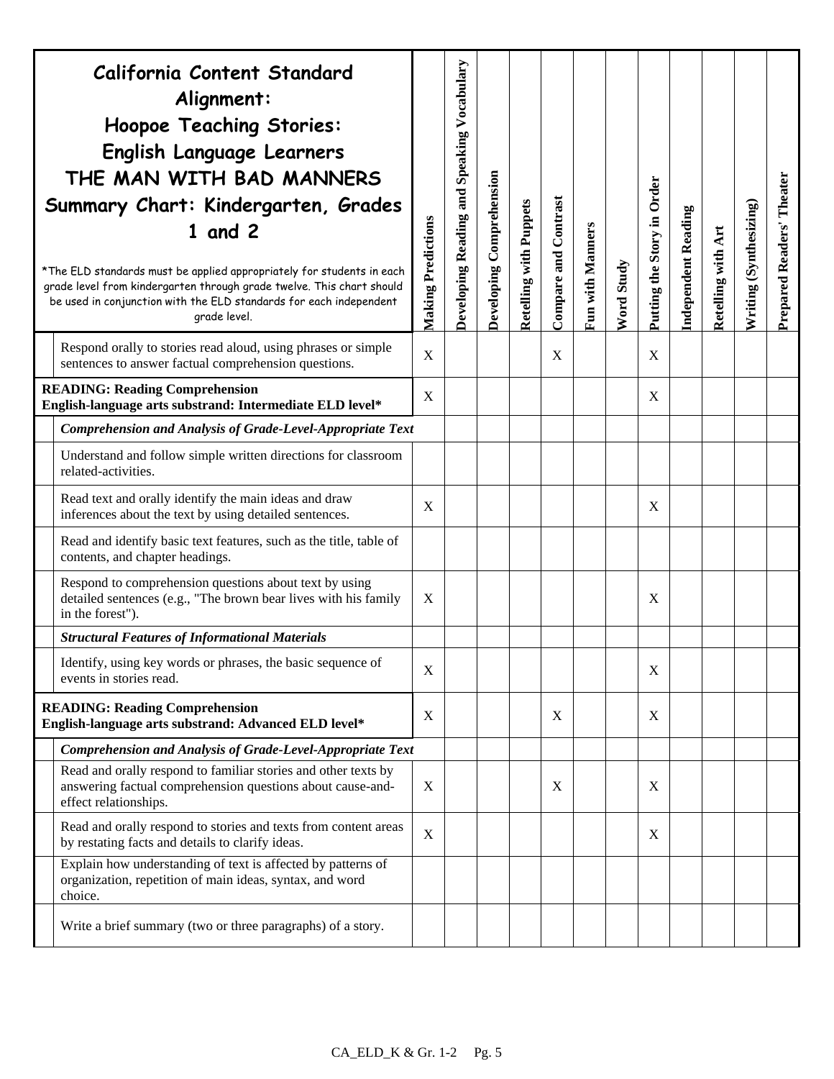| California Content Standard<br>Alignment:<br><b>Hoopoe Teaching Stories:</b><br>English Language Learners<br>THE MAN WITH BAD MANNERS<br>Summary Chart: Kindergarten, Grades<br>$1$ and $2$<br>*The ELD standards must be applied appropriately for students in each<br>grade level from kindergarten through grade twelve. This chart should<br>be used in conjunction with the ELD standards for each independent<br>grade level. | Making Predictions        | Developing Reading and Speaking Vocabulary | Developing Comprehension | <b>Retelling with Puppets</b> | Compare and Contrast | Fun with Manners | Word Study | Putting the Story in Order | <b>Independent Reading</b> | Retelling with Art | Writing (Synthesizing) | Prepared Readers' Theater |
|-------------------------------------------------------------------------------------------------------------------------------------------------------------------------------------------------------------------------------------------------------------------------------------------------------------------------------------------------------------------------------------------------------------------------------------|---------------------------|--------------------------------------------|--------------------------|-------------------------------|----------------------|------------------|------------|----------------------------|----------------------------|--------------------|------------------------|---------------------------|
| Respond orally to stories read aloud, using phrases or simple<br>sentences to answer factual comprehension questions.                                                                                                                                                                                                                                                                                                               | $\mathbf X$               |                                            |                          |                               | X                    |                  |            | $\boldsymbol{\mathrm{X}}$  |                            |                    |                        |                           |
| <b>READING: Reading Comprehension</b><br>English-language arts substrand: Intermediate ELD level*                                                                                                                                                                                                                                                                                                                                   | X                         |                                            |                          |                               |                      |                  |            | X                          |                            |                    |                        |                           |
| Comprehension and Analysis of Grade-Level-Appropriate Text                                                                                                                                                                                                                                                                                                                                                                          |                           |                                            |                          |                               |                      |                  |            |                            |                            |                    |                        |                           |
| Understand and follow simple written directions for classroom<br>related-activities.                                                                                                                                                                                                                                                                                                                                                |                           |                                            |                          |                               |                      |                  |            |                            |                            |                    |                        |                           |
| Read text and orally identify the main ideas and draw<br>inferences about the text by using detailed sentences.                                                                                                                                                                                                                                                                                                                     | X                         |                                            |                          |                               |                      |                  |            | X                          |                            |                    |                        |                           |
| Read and identify basic text features, such as the title, table of<br>contents, and chapter headings.                                                                                                                                                                                                                                                                                                                               |                           |                                            |                          |                               |                      |                  |            |                            |                            |                    |                        |                           |
| Respond to comprehension questions about text by using<br>detailed sentences (e.g., "The brown bear lives with his family<br>in the forest").                                                                                                                                                                                                                                                                                       | X                         |                                            |                          |                               |                      |                  |            | X                          |                            |                    |                        |                           |
| <b>Structural Features of Informational Materials</b>                                                                                                                                                                                                                                                                                                                                                                               |                           |                                            |                          |                               |                      |                  |            |                            |                            |                    |                        |                           |
| Identify, using key words or phrases, the basic sequence of<br>events in stories read.                                                                                                                                                                                                                                                                                                                                              | X                         |                                            |                          |                               |                      |                  |            | X                          |                            |                    |                        |                           |
| <b>READING: Reading Comprehension</b><br>English-language arts substrand: Advanced ELD level*                                                                                                                                                                                                                                                                                                                                       | $\boldsymbol{\mathrm{X}}$ |                                            |                          |                               | X                    |                  |            | X                          |                            |                    |                        |                           |
| Comprehension and Analysis of Grade-Level-Appropriate Text                                                                                                                                                                                                                                                                                                                                                                          |                           |                                            |                          |                               |                      |                  |            |                            |                            |                    |                        |                           |
| Read and orally respond to familiar stories and other texts by<br>answering factual comprehension questions about cause-and-<br>effect relationships.                                                                                                                                                                                                                                                                               | $\boldsymbol{\mathrm{X}}$ |                                            |                          |                               | X                    |                  |            | X                          |                            |                    |                        |                           |
| Read and orally respond to stories and texts from content areas<br>by restating facts and details to clarify ideas.                                                                                                                                                                                                                                                                                                                 | X                         |                                            |                          |                               |                      |                  |            | X                          |                            |                    |                        |                           |
| Explain how understanding of text is affected by patterns of<br>organization, repetition of main ideas, syntax, and word<br>choice.                                                                                                                                                                                                                                                                                                 |                           |                                            |                          |                               |                      |                  |            |                            |                            |                    |                        |                           |
| Write a brief summary (two or three paragraphs) of a story.                                                                                                                                                                                                                                                                                                                                                                         |                           |                                            |                          |                               |                      |                  |            |                            |                            |                    |                        |                           |